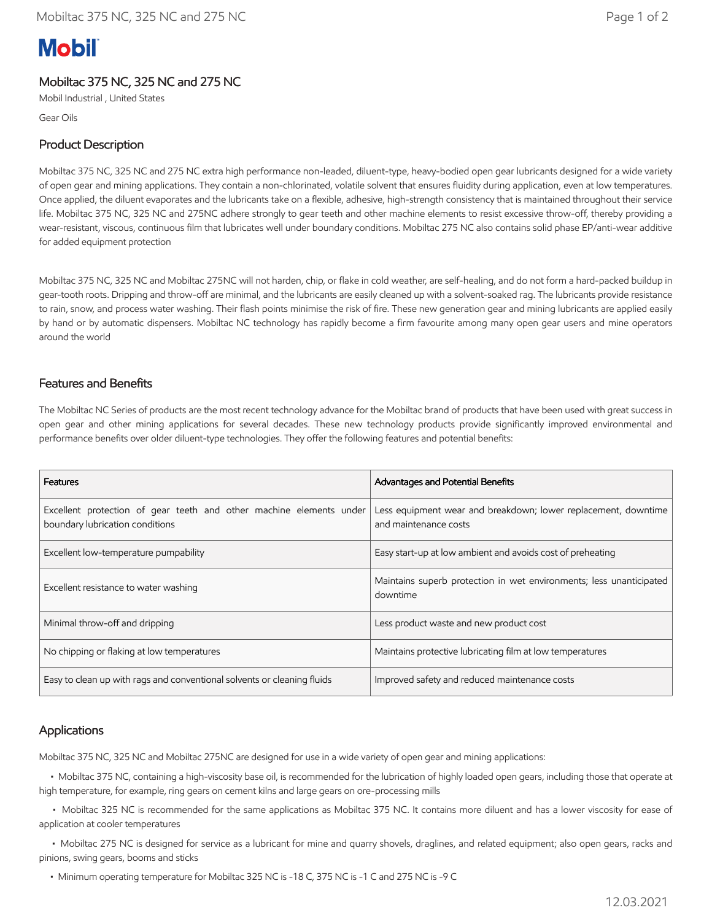# **Mobil**

## Mobiltac 375 NC, 325 NC and 275 NC

Mobil Industrial , United States

Gear Oils

## Product Description

Mobiltac 375 NC, 325 NC and 275 NC extra high performance non-leaded, diluent-type, heavy-bodied open gear lubricants designed for a wide variety of open gear and mining applications. They contain a non-chlorinated, volatile solvent that ensures fluidity during application, even at low temperatures. Once applied, the diluent evaporates and the lubricants take on a flexible, adhesive, high-strength consistency that is maintained throughout their service life. Mobiltac 375 NC, 325 NC and 275NC adhere strongly to gear teeth and other machine elements to resist excessive throw-off, thereby providing a wear-resistant, viscous, continuous film that lubricates well under boundary conditions. Mobiltac 275 NC also contains solid phase EP/anti-wear additive for added equipment protection

Mobiltac 375 NC, 325 NC and Mobiltac 275NC will not harden, chip, or flake in cold weather, are self-healing, and do not form a hard-packed buildup in gear-tooth roots. Dripping and throw-off are minimal, and the lubricants are easily cleaned up with a solvent-soaked rag. The lubricants provide resistance to rain, snow, and process water washing. Their flash points minimise the risk of fire. These new generation gear and mining lubricants are applied easily by hand or by automatic dispensers. Mobiltac NC technology has rapidly become a firm favourite among many open gear users and mine operators around the world

## Features and Benefits

The Mobiltac NC Series of products are the most recent technology advance for the Mobiltac brand of products that have been used with great success in open gear and other mining applications for several decades. These new technology products provide significantly improved environmental and performance benefits over older diluent-type technologies. They offer the following features and potential benefits:

| Features                                                                                               | Advantages and Potential Benefits                                                       |  |
|--------------------------------------------------------------------------------------------------------|-----------------------------------------------------------------------------------------|--|
| Excellent protection of gear teeth and other machine elements under<br>boundary lubrication conditions | Less equipment wear and breakdown; lower replacement, downtime<br>and maintenance costs |  |
| Excellent low-temperature pumpability                                                                  | Easy start-up at low ambient and avoids cost of preheating                              |  |
| Excellent resistance to water washing                                                                  | Maintains superb protection in wet environments; less unanticipated<br>downtime         |  |
| Minimal throw-off and dripping                                                                         | Less product waste and new product cost                                                 |  |
| No chipping or flaking at low temperatures                                                             | Maintains protective lubricating film at low temperatures                               |  |
| Easy to clean up with rags and conventional solvents or cleaning fluids                                | Improved safety and reduced maintenance costs                                           |  |

#### Applications

Mobiltac 375 NC, 325 NC and Mobiltac 275NC are designed for use in a wide variety of open gear and mining applications:

 • Mobiltac 375 NC, containing a high-viscosity base oil, is recommended for the lubrication of highly loaded open gears, including those that operate at high temperature, for example, ring gears on cement kilns and large gears on ore-processing mills

 • Mobiltac 325 NC is recommended for the same applications as Mobiltac 375 NC. It contains more diluent and has a lower viscosity for ease of application at cooler temperatures

 • Mobiltac 275 NC is designed for service as a lubricant for mine and quarry shovels, draglines, and related equipment; also open gears, racks and pinions, swing gears, booms and sticks

• Minimum operating temperature for Mobiltac 325 NC is -18 C, 375 NC is -1 C and 275 NC is -9 C